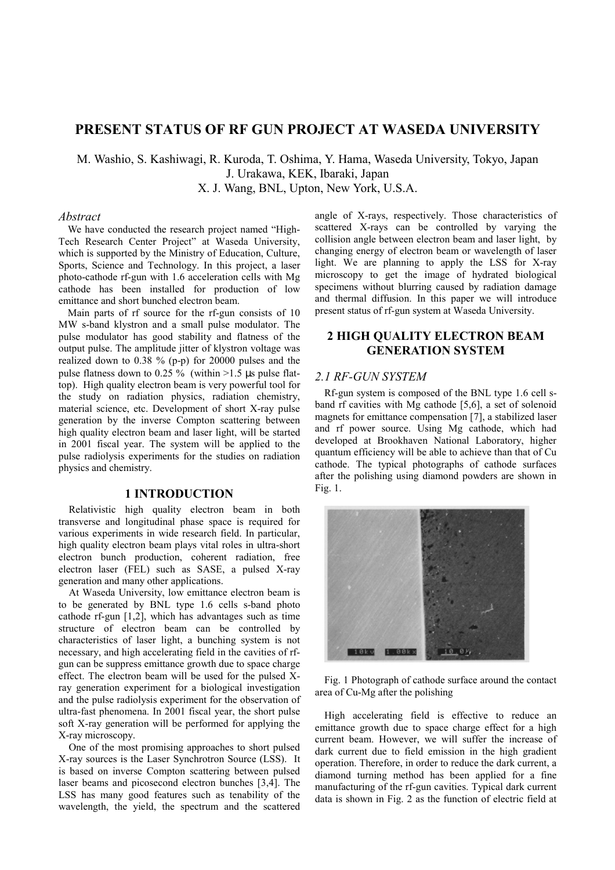# **PRESENT STATUS OF RF GUN PROJECT AT WASEDA UNIVERSITY**

M. Washio, S. Kashiwagi, R. Kuroda, T. Oshima, Y. Hama, Waseda University, Tokyo, Japan J. Urakawa, KEK, Ibaraki, Japan

X. J. Wang, BNL, Upton, New York, U.S.A.

## *Abstract*

We have conducted the research project named "High-Tech Research Center Project" at Waseda University, which is supported by the Ministry of Education, Culture, Sports, Science and Technology. In this project, a laser photo-cathode rf-gun with 1.6 acceleration cells with Mg cathode has been installed for production of low emittance and short bunched electron beam.

Main parts of rf source for the rf-gun consists of 10 MW s-band klystron and a small pulse modulator. The pulse modulator has good stability and flatness of the output pulse. The amplitude jitter of klystron voltage was realized down to 0.38 % (p-p) for 20000 pulses and the pulse flatness down to 0.25 % (within  $>1.5$  µs pulse flattop). High quality electron beam is very powerful tool for the study on radiation physics, radiation chemistry, material science, etc. Development of short X-ray pulse generation by the inverse Compton scattering between high quality electron beam and laser light, will be started in 2001 fiscal year. The system will be applied to the pulse radiolysis experiments for the studies on radiation physics and chemistry.

### **1 INTRODUCTION**

Relativistic high quality electron beam in both transverse and longitudinal phase space is required for various experiments in wide research field. In particular, high quality electron beam plays vital roles in ultra-short electron bunch production, coherent radiation, free electron laser (FEL) such as SASE, a pulsed X-ray generation and many other applications.

At Waseda University, low emittance electron beam is to be generated by BNL type 1.6 cells s-band photo cathode rf-gun [1,2], which has advantages such as time structure of electron beam can be controlled by characteristics of laser light, a bunching system is not necessary, and high accelerating field in the cavities of rfgun can be suppress emittance growth due to space charge effect. The electron beam will be used for the pulsed Xray generation experiment for a biological investigation and the pulse radiolysis experiment for the observation of ultra-fast phenomena. In 2001 fiscal year, the short pulse soft X-ray generation will be performed for applying the X-ray microscopy.

One of the most promising approaches to short pulsed X-ray sources is the Laser Synchrotron Source (LSS). It is based on inverse Compton scattering between pulsed laser beams and picosecond electron bunches [3,4]. The LSS has many good features such as tenability of the wavelength, the yield, the spectrum and the scattered

angle of X-rays, respectively. Those characteristics of scattered X-rays can be controlled by varying the collision angle between electron beam and laser light, by changing energy of electron beam or wavelength of laser light. We are planning to apply the LSS for X-ray microscopy to get the image of hydrated biological specimens without blurring caused by radiation damage and thermal diffusion. In this paper we will introduce present status of rf-gun system at Waseda University.

# **2 HIGH QUALITY ELECTRON BEAM GENERATION SYSTEM**

### *2.1 RF-GUN SYSTEM*

Rf-gun system is composed of the BNL type 1.6 cell sband rf cavities with Mg cathode [5,6], a set of solenoid magnets for emittance compensation [7], a stabilized laser and rf power source. Using Mg cathode, which had developed at Brookhaven National Laboratory, higher quantum efficiency will be able to achieve than that of Cu cathode. The typical photographs of cathode surfaces after the polishing using diamond powders are shown in Fig. 1.



Fig. 1 Photograph of cathode surface around the contact area of Cu-Mg after the polishing

High accelerating field is effective to reduce an emittance growth due to space charge effect for a high current beam. However, we will suffer the increase of dark current due to field emission in the high gradient operation. Therefore, in order to reduce the dark current, a diamond turning method has been applied for a fine manufacturing of the rf-gun cavities. Typical dark current data is shown in Fig. 2 as the function of electric field at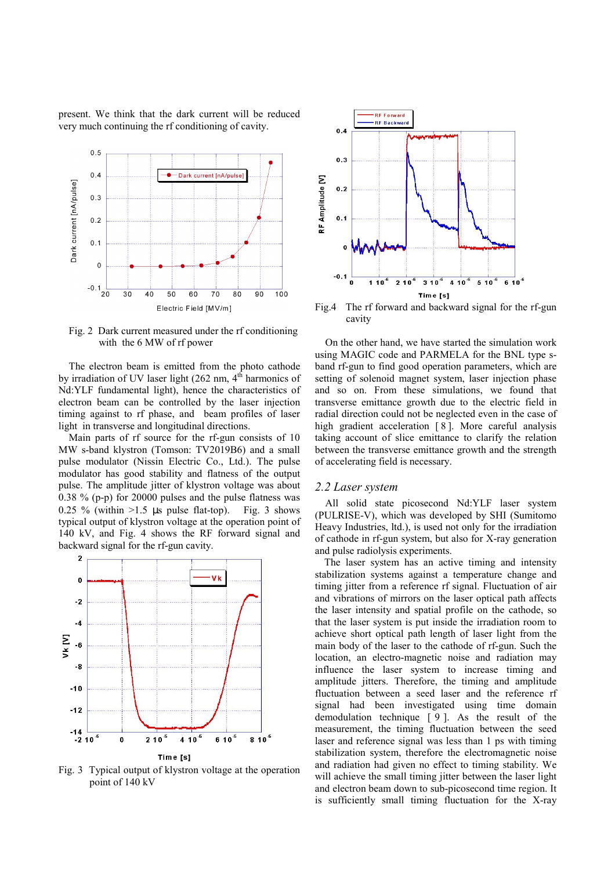present. We think that the dark current will be reduced very much continuing the rf conditioning of cavity.



Fig. 2 Dark current measured under the rf conditioning with the 6 MW of rf power

The electron beam is emitted from the photo cathode by irradiation of UV laser light  $(262 \text{ nm}, 4^{\text{th}})$  harmonics of Nd:YLF fundamental light), hence the characteristics of electron beam can be controlled by the laser injection timing against to rf phase, and beam profiles of laser light in transverse and longitudinal directions.

Main parts of rf source for the rf-gun consists of 10 MW s-band klystron (Tomson: TV2019B6) and a small pulse modulator (Nissin Electric Co., Ltd.). The pulse modulator has good stability and flatness of the output pulse. The amplitude jitter of klystron voltage was about 0.38 % (p-p) for 20000 pulses and the pulse flatness was 0.25 % (within  $>1.5$  µs pulse flat-top). Fig. 3 shows typical output of klystron voltage at the operation point of 140 kV, and Fig. 4 shows the RF forward signal and backward signal for the rf-gun cavity.



Fig. 3 Typical output of klystron voltage at the operation point of 140 kV



Fig.4 The rf forward and backward signal for the rf-gun cavity

On the other hand, we have started the simulation work using MAGIC code and PARMELA for the BNL type sband rf-gun to find good operation parameters, which are setting of solenoid magnet system, laser injection phase and so on. From these simulations, we found that transverse emittance growth due to the electric field in radial direction could not be neglected even in the case of high gradient acceleration [8]. More careful analysis taking account of slice emittance to clarify the relation between the transverse emittance growth and the strength of accelerating field is necessary.

#### *2.2 Laser system*

All solid state picosecond Nd:YLF laser system (PULRISE-V), which was developed by SHI (Sumitomo Heavy Industries, ltd.), is used not only for the irradiation of cathode in rf-gun system, but also for X-ray generation and pulse radiolysis experiments.

The laser system has an active timing and intensity stabilization systems against a temperature change and timing jitter from a reference rf signal. Fluctuation of air and vibrations of mirrors on the laser optical path affects the laser intensity and spatial profile on the cathode, so that the laser system is put inside the irradiation room to achieve short optical path length of laser light from the main body of the laser to the cathode of rf-gun. Such the location, an electro-magnetic noise and radiation may influence the laser system to increase timing and amplitude jitters. Therefore, the timing and amplitude fluctuation between a seed laser and the reference rf signal had been investigated using time domain demodulation technique [ 9 ]. As the result of the measurement, the timing fluctuation between the seed laser and reference signal was less than 1 ps with timing stabilization system, therefore the electromagnetic noise and radiation had given no effect to timing stability. We will achieve the small timing jitter between the laser light and electron beam down to sub-picosecond time region. It is sufficiently small timing fluctuation for the X-ray